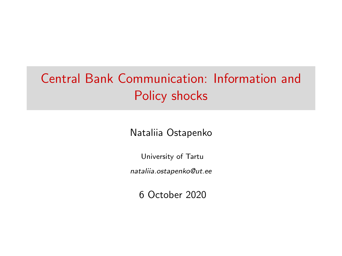# Central Bank Communication: Information and Policy shocks

Nataliia Ostapenko

University of Tartu

nataliia.ostapenko@ut.ee

6 October 2020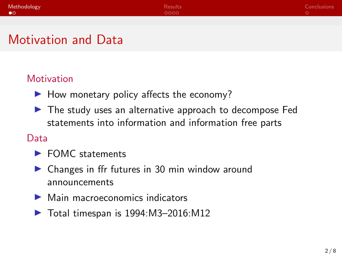<span id="page-1-0"></span>

| Methodology | Results | Conclusions |
|-------------|---------|-------------|
| $\bullet$   | 0000    |             |
|             |         |             |

### Motivation and Data

#### **Motivation**

- $\blacktriangleright$  How monetary policy affects the economy?
- $\blacktriangleright$  The study uses an alternative approach to decompose Fed statements into information and information free parts

#### Data

- $\blacktriangleright$  FOMC statements
- $\triangleright$  Changes in ffr futures in 30 min window around announcements
- $\blacktriangleright$  Main macroeconomics indicators
- $\triangleright$  Total timespan is 1994:M3-2016:M12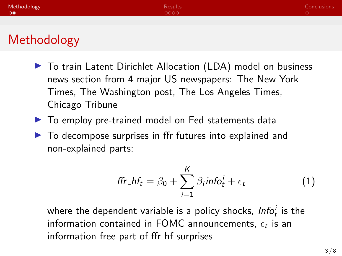| Methodology | <b>Results</b> | <b>Conclusions</b> |
|-------------|----------------|--------------------|
| L O●        | 0000           |                    |
|             |                |                    |

## Methodology

- ▶ To train Latent Dirichlet Allocation (LDA) model on business news section from 4 major US newspapers: The New York Times, The Washington post, The Los Angeles Times, Chicago Tribune
- $\blacktriangleright$  To employ pre-trained model on Fed statements data
- $\triangleright$  To decompose surprises in ffr futures into explained and non-explained parts:

$$
ffr_-hf_t = \beta_0 + \sum_{i=1}^K \beta_i info_t^i + \epsilon_t \qquad (1)
$$

where the dependent variable is a policy shocks,  $\textit{Info}^i_t$  is the information contained in FOMC announcements,  $\epsilon_t$  is an information free part of ffr hf surprises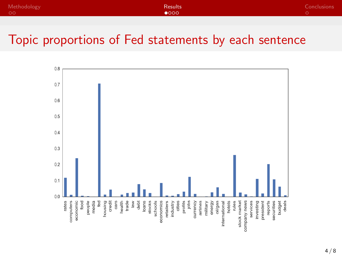<span id="page-3-0"></span>

| Methodology | Results       | Conclusions |
|-------------|---------------|-------------|
| <b>00</b>   | $\bullet$ 000 |             |

#### Topic proportions of Fed statements by each sentence

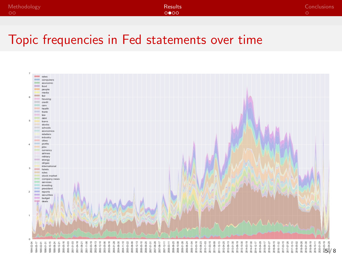| Methodology | <b>Results</b> | Conclusions |
|-------------|----------------|-------------|
| - 00        | 0000           |             |

### Topic frequencies in Fed statements over time

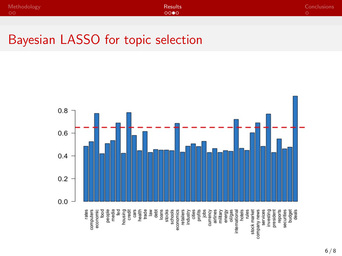| Methodology | <b>Results</b>     | Conclusions |
|-------------|--------------------|-------------|
| $\circ$     | LOOOO <sup>*</sup> |             |

### Bayesian LASSO for topic selection

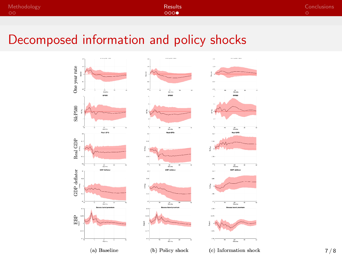| Methodology | <b>Results</b> | Conclusions <sup>1</sup> |
|-------------|----------------|--------------------------|
| OO          | 0000           |                          |

### Decomposed information and policy shocks